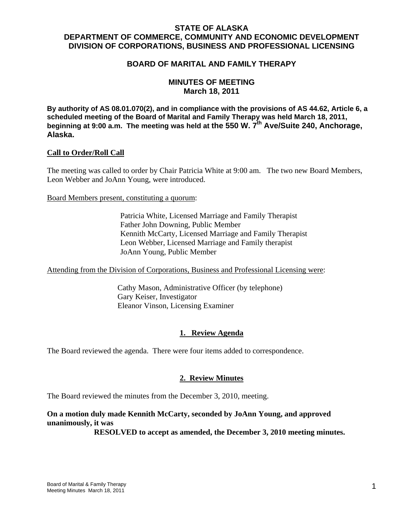# **STATE OF ALASKA DEPARTMENT OF COMMERCE, COMMUNITY AND ECONOMIC DEVELOPMENT DIVISION OF CORPORATIONS, BUSINESS AND PROFESSIONAL LICENSING**

## **BOARD OF MARITAL AND FAMILY THERAPY**

# **MINUTES OF MEETING March 18, 2011**

**By authority of AS 08.01.070(2), and in compliance with the provisions of AS 44.62, Article 6, a scheduled meeting of the Board of Marital and Family Therapy was held March 18, 2011,**  beginning at 9:00 a.m. The meeting was held at the 550 W. 7<sup>th</sup> Ave/Suite 240, Anchorage, **Alaska.**

#### **Call to Order/Roll Call**

The meeting was called to order by Chair Patricia White at 9:00 am. The two new Board Members, Leon Webber and JoAnn Young, were introduced.

Board Members present, constituting a quorum:

 Patricia White, Licensed Marriage and Family Therapist Father John Downing, Public Member Kennith McCarty, Licensed Marriage and Family Therapist Leon Webber, Licensed Marriage and Family therapist JoAnn Young, Public Member

Attending from the Division of Corporations, Business and Professional Licensing were:

 Cathy Mason, Administrative Officer (by telephone) Gary Keiser, Investigator Eleanor Vinson, Licensing Examiner

# **1. Review Agenda**

The Board reviewed the agenda. There were four items added to correspondence.

### **2. Review Minutes**

The Board reviewed the minutes from the December 3, 2010, meeting.

# **On a motion duly made Kennith McCarty, seconded by JoAnn Young, and approved unanimously, it was**

 **RESOLVED to accept as amended, the December 3, 2010 meeting minutes.**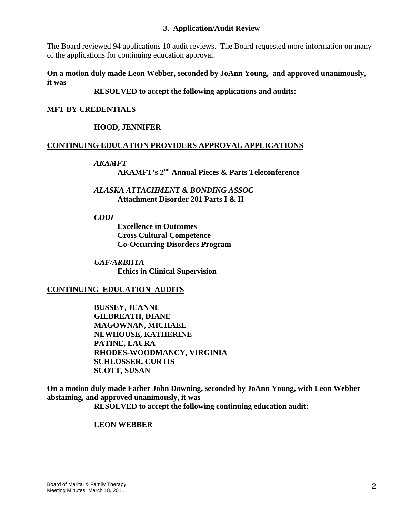## **3. Application/Audit Review**

The Board reviewed 94 applications 10 audit reviews. The Board requested more information on many of the applications for continuing education approval.

### **On a motion duly made Leon Webber, seconded by JoAnn Young, and approved unanimously, it was**

# **RESOLVED to accept the following applications and audits:**

# **MFT BY CREDENTIALS**

# **HOOD, JENNIFER**

## **CONTINUING EDUCATION PROVIDERS APPROVAL APPLICATIONS**

### *AKAMFT*

**AKAMFT's 2nd Annual Pieces & Parts Teleconference** 

## *ALASKA ATTACHMENT & BONDING ASSOC*  **Attachment Disorder 201 Parts I & II**

*CODI* 

**Excellence in Outcomes Cross Cultural Competence Co-Occurring Disorders Program** 

*UAF/ARBHTA* **Ethics in Clinical Supervision** 

### **CONTINUING EDUCATION AUDITS**

 **BUSSEY, JEANNE GILBREATH, DIANE MAGOWNAN, MICHAEL NEWHOUSE, KATHERINE PATINE, LAURA RHODES-WOODMANCY, VIRGINIA SCHLOSSER, CURTIS SCOTT, SUSAN** 

**On a motion duly made Father John Downing, seconded by JoAnn Young, with Leon Webber abstaining, and approved unanimously, it was** 

**RESOLVED to accept the following continuing education audit:**

### **LEON WEBBER**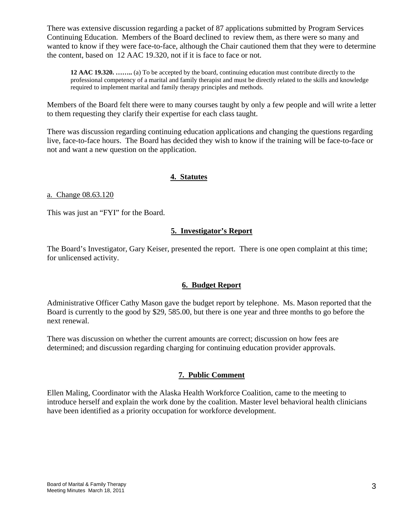There was extensive discussion regarding a packet of 87 applications submitted by Program Services Continuing Education. Members of the Board declined to review them, as there were so many and wanted to know if they were face-to-face, although the Chair cautioned them that they were to determine the content, based on 12 AAC 19.320, not if it is face to face or not.

**12 AAC 19.320. ……..** (a) To be accepted by the board, continuing education must contribute directly to the professional competency of a marital and family therapist and must be directly related to the skills and knowledge required to implement marital and family therapy principles and methods.

Members of the Board felt there were to many courses taught by only a few people and will write a letter to them requesting they clarify their expertise for each class taught.

There was discussion regarding continuing education applications and changing the questions regarding live, face-to-face hours. The Board has decided they wish to know if the training will be face-to-face or not and want a new question on the application.

# **4. Statutes**

a. Change 08.63.120

This was just an "FYI" for the Board.

# **5. Investigator's Report**

The Board's Investigator, Gary Keiser, presented the report. There is one open complaint at this time; for unlicensed activity.

# **6. Budget Report**

Administrative Officer Cathy Mason gave the budget report by telephone. Ms. Mason reported that the Board is currently to the good by \$29, 585.00, but there is one year and three months to go before the next renewal.

There was discussion on whether the current amounts are correct; discussion on how fees are determined; and discussion regarding charging for continuing education provider approvals.

# **7. Public Comment**

Ellen Maling, Coordinator with the Alaska Health Workforce Coalition, came to the meeting to introduce herself and explain the work done by the coalition. Master level behavioral health clinicians have been identified as a priority occupation for workforce development.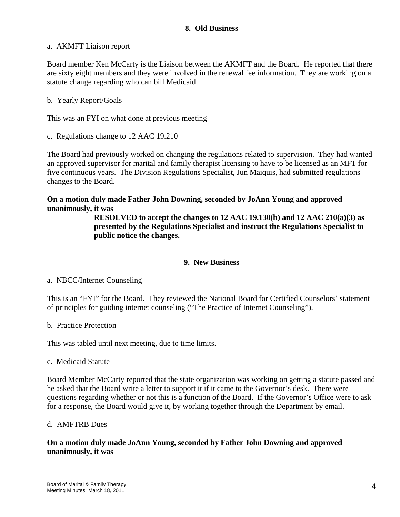## **8. Old Business**

### a. AKMFT Liaison report

Board member Ken McCarty is the Liaison between the AKMFT and the Board. He reported that there are sixty eight members and they were involved in the renewal fee information. They are working on a statute change regarding who can bill Medicaid.

### b. Yearly Report/Goals

This was an FYI on what done at previous meeting

#### c. Regulations change to 12 AAC 19.210

The Board had previously worked on changing the regulations related to supervision. They had wanted an approved supervisor for marital and family therapist licensing to have to be licensed as an MFT for five continuous years. The Division Regulations Specialist, Jun Maiquis, had submitted regulations changes to the Board.

## **On a motion duly made Father John Downing, seconded by JoAnn Young and approved unanimously, it was**

**RESOLVED to accept the changes to 12 AAC 19.130(b) and 12 AAC 210(a)(3) as presented by the Regulations Specialist and instruct the Regulations Specialist to public notice the changes.** 

### **9. New Business**

#### a. NBCC/Internet Counseling

This is an "FYI" for the Board. They reviewed the National Board for Certified Counselors' statement of principles for guiding internet counseling ("The Practice of Internet Counseling").

#### b. Practice Protection

This was tabled until next meeting, due to time limits.

#### c. Medicaid Statute

Board Member McCarty reported that the state organization was working on getting a statute passed and he asked that the Board write a letter to support it if it came to the Governor's desk. There were questions regarding whether or not this is a function of the Board. If the Governor's Office were to ask for a response, the Board would give it, by working together through the Department by email.

#### d. AMFTRB Dues

## **On a motion duly made JoAnn Young, seconded by Father John Downing and approved unanimously, it was**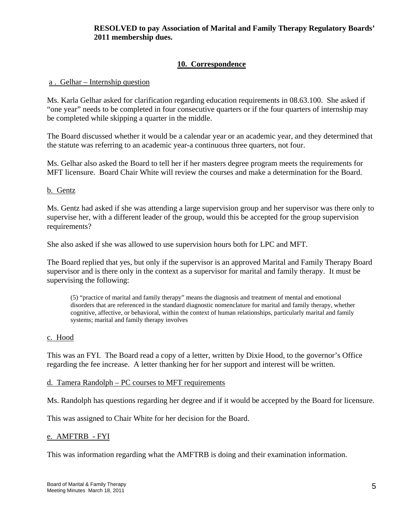# **RESOLVED to pay Association of Marital and Family Therapy Regulatory Boards' 2011 membership dues.**

# **10. Correspondence**

## a . Gelhar – Internship question

Ms. Karla Gelhar asked for clarification regarding education requirements in 08.63.100. She asked if "one year" needs to be completed in four consecutive quarters or if the four quarters of internship may be completed while skipping a quarter in the middle.

The Board discussed whether it would be a calendar year or an academic year, and they determined that the statute was referring to an academic year-a continuous three quarters, not four.

Ms. Gelhar also asked the Board to tell her if her masters degree program meets the requirements for MFT licensure. Board Chair White will review the courses and make a determination for the Board.

### b. Gentz

Ms. Gentz had asked if she was attending a large supervision group and her supervisor was there only to supervise her, with a different leader of the group, would this be accepted for the group supervision requirements?

She also asked if she was allowed to use supervision hours both for LPC and MFT.

The Board replied that yes, but only if the supervisor is an approved Marital and Family Therapy Board supervisor and is there only in the context as a supervisor for marital and family therapy. It must be supervising the following:

(5) "practice of marital and family therapy" means the diagnosis and treatment of mental and emotional disorders that are referenced in the standard diagnostic nomenclature for marital and family therapy, whether cognitive, affective, or behavioral, within the context of human relationships, particularly marital and family systems; marital and family therapy involves

### c. Hood

This was an FYI. The Board read a copy of a letter, written by Dixie Hood, to the governor's Office regarding the fee increase. A letter thanking her for her support and interest will be written.

### d. Tamera Randolph – PC courses to MFT requirements

Ms. Randolph has questions regarding her degree and if it would be accepted by the Board for licensure.

This was assigned to Chair White for her decision for the Board.

### e. AMFTRB - FYI

This was information regarding what the AMFTRB is doing and their examination information.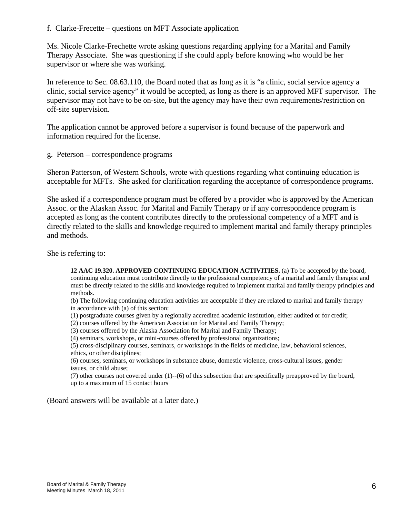## f. Clarke-Frecette – questions on MFT Associate application

Ms. Nicole Clarke-Frechette wrote asking questions regarding applying for a Marital and Family Therapy Associate. She was questioning if she could apply before knowing who would be her supervisor or where she was working.

In reference to Sec. 08.63.110, the Board noted that as long as it is "a clinic, social service agency a clinic, social service agency" it would be accepted, as long as there is an approved MFT supervisor. The supervisor may not have to be on-site, but the agency may have their own requirements/restriction on off-site supervision.

The application cannot be approved before a supervisor is found because of the paperwork and information required for the license.

#### g. Peterson – correspondence programs

Sheron Patterson, of Western Schools, wrote with questions regarding what continuing education is acceptable for MFTs. She asked for clarification regarding the acceptance of correspondence programs.

She asked if a correspondence program must be offered by a provider who is approved by the American Assoc. or the Alaskan Assoc. for Marital and Family Therapy or if any correspondence program is accepted as long as the content contributes directly to the professional competency of a MFT and is directly related to the skills and knowledge required to implement marital and family therapy principles and methods.

She is referring to:

**12 AAC 19.320. APPROVED CONTINUING EDUCATION ACTIVITIES.** (a) To be accepted by the board, continuing education must contribute directly to the professional competency of a marital and family therapist and must be directly related to the skills and knowledge required to implement marital and family therapy principles and methods.

(b) The following continuing education activities are acceptable if they are related to marital and family therapy in accordance with (a) of this section:

- (1) postgraduate courses given by a regionally accredited academic institution, either audited or for credit;
- (2) courses offered by the American Association for Marital and Family Therapy;
- (3) courses offered by the Alaska Association for Marital and Family Therapy;

(4) seminars, workshops, or mini-courses offered by professional organizations;

(5) cross-disciplinary courses, seminars, or workshops in the fields of medicine, law, behavioral sciences, ethics, or other disciplines;

(6) courses, seminars, or workshops in substance abuse, domestic violence, cross-cultural issues, gender issues, or child abuse;

(7) other courses not covered under (1)--(6) of this subsection that are specifically preapproved by the board, up to a maximum of 15 contact hours

(Board answers will be available at a later date.)